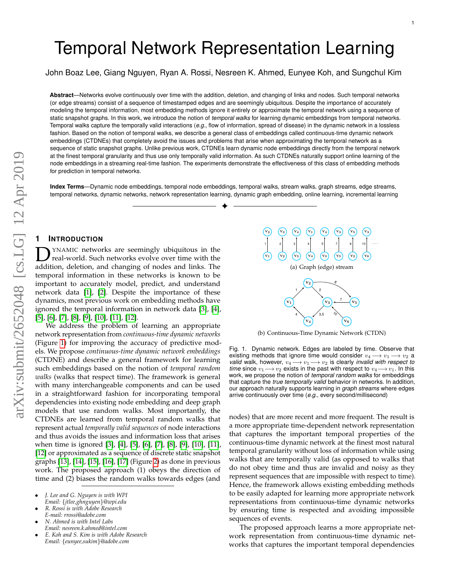# Temporal Network Representation Learning

John Boaz Lee, Giang Nguyen, Ryan A. Rossi, Nesreen K. Ahmed, Eunyee Koh, and Sungchul Kim

**Abstract**—Networks evolve continuously over time with the addition, deletion, and changing of links and nodes. Such temporal networks (or edge streams) consist of a sequence of timestamped edges and are seemingly ubiquitous. Despite the importance of accurately modeling the temporal information, most embedding methods ignore it entirely or approximate the temporal network using a sequence of static snapshot graphs. In this work, we introduce the notion of *temporal walks* for learning dynamic embeddings from temporal networks. Temporal walks capture the temporally valid interactions (*e.g.*, flow of information, spread of disease) in the dynamic network in a lossless fashion. Based on the notion of temporal walks, we describe a general class of embeddings called continuous-time dynamic network embeddings (CTDNEs) that completely avoid the issues and problems that arise when approximating the temporal network as a sequence of static snapshot graphs. Unlike previous work, CTDNEs learn dynamic node embeddings directly from the temporal network at the finest temporal granularity and thus use only temporally valid information. As such CTDNEs naturally support online learning of the node embeddings in a streaming real-time fashion. The experiments demonstrate the effectiveness of this class of embedding methods for prediction in temporal networks.

**Index Terms**—Dynamic node embeddings, temporal node embeddings, temporal walks, stream walks, graph streams, edge streams, temporal networks, dynamic networks, network representation learning, dynamic graph embedding, online learning, incremental learning ✦

## **1 INTRODUCTION**

**D** YNAMIC networks are seemingly ubiquitous in the real-world. Such networks evolve over time with the addition, deletion, and changing of nodes and links. The YNAMIC networks are seemingly ubiquitous in the real-world. Such networks evolve over time with the temporal information in these networks is known to be important to accurately model, predict, and understand network data [\[1\]](#page-12-0), [\[2\]](#page-12-1). Despite the importance of these dynamics, most previous work on embedding methods have ignored the temporal information in network data [\[3\]](#page-12-2), [\[4\]](#page-12-3), [\[5\]](#page-12-4), [\[6\]](#page-12-5), [\[7\]](#page-12-6), [\[8\]](#page-12-7), [\[9\]](#page-12-8), [\[10\]](#page-12-9), [\[11\]](#page-12-10), [\[12\]](#page-12-11).

We address the problem of learning an appropriate network representation from *continuous-time dynamic networks* (Figure [1\)](#page-0-0) for improving the accuracy of predictive models. We propose *continuous-time dynamic network embeddings* (CTDNE) and describe a general framework for learning such embeddings based on the notion of *temporal random walks* (walks that respect time). The framework is general with many interchangeable components and can be used in a straightforward fashion for incorporating temporal dependencies into existing node embedding and deep graph models that use random walks. Most importantly, the CTDNEs are learned from temporal random walks that represent actual *temporally valid sequences* of node interactions and thus avoids the issues and information loss that arises when time is ignored [\[3\]](#page-12-2), [\[4\]](#page-12-3), [\[5\]](#page-12-4), [\[6\]](#page-12-5), [\[7\]](#page-12-6), [\[8\]](#page-12-7), [\[9\]](#page-12-8), [\[10\]](#page-12-9), [\[11\]](#page-12-10), [\[12\]](#page-12-11) or approximated as a sequence of discrete static snapshot graphs [\[13\]](#page-12-12), [\[14\]](#page-12-13), [\[15\]](#page-12-14), [\[16\]](#page-12-15), [\[17\]](#page-12-16) (Figure [2\)](#page-1-0) as done in previous work. The proposed approach (1) obeys the direction of time and (2) biases the random walks towards edges (and

- *J. Lee and G. Nguyen is with WPI Email:* {*jtlee,ghnguyen*}*@wpi.edu*
- *R. Rossi is with Adobe Research*
- *E-mail: rrossi@adobe.com* • *N. Ahmed is with Intel Labs*
- *Email: nesreen.k.ahmed@intel.com*
- *E. Koh and S. Kim is with Adobe Research Email:* {*eunyee,sukim*}*@adobe.com*



<span id="page-0-0"></span>(b) Continuous-Time Dynamic Network (CTDN)

Fig. 1. Dynamic network. Edges are labeled by time. Observe that existing methods that ignore time would consider  $v_4 \longrightarrow v_1 \longrightarrow v_2$  a *valid* walk, however,  $v_4 \rightarrow v_1 \rightarrow v_2$  is clearly *invalid with respect to time* since  $v_1 \rightarrow v_2$  exists in the past with respect to  $v_4 \rightarrow v_1$ . In this work, we propose the notion of *temporal random walks* for embeddings that capture the *true temporally valid* behavior in networks. In addition, our approach naturally supports learning in *graph streams* where edges arrive continuously over time (*e.g.*, every second/millisecond)

nodes) that are more recent and more frequent. The result is a more appropriate time-dependent network representation that captures the important temporal properties of the continuous-time dynamic network at the finest most natural temporal granularity without loss of information while using walks that are temporally valid (as opposed to walks that do not obey time and thus are invalid and noisy as they represent sequences that are impossible with respect to time). Hence, the framework allows existing embedding methods to be easily adapted for learning more appropriate network representations from continuous-time dynamic networks by ensuring time is respected and avoiding impossible sequences of events.

The proposed approach learns a more appropriate network representation from continuous-time dynamic networks that captures the important temporal dependencies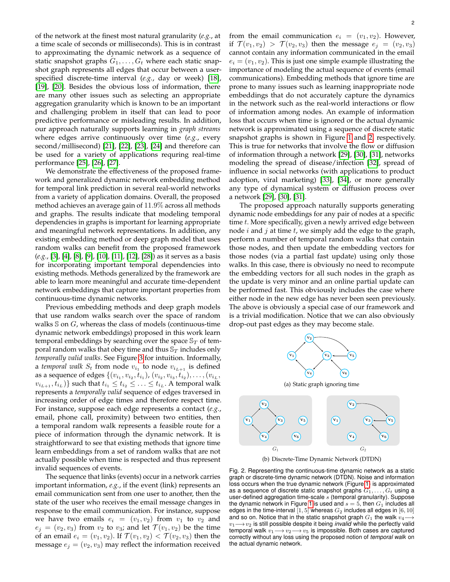of the network at the finest most natural granularity (*e.g.*, at a time scale of seconds or milliseconds). This is in contrast to approximating the dynamic network as a sequence of static snapshot graphs  $G_1, \ldots, G_t$  where each static snapshot graph represents all edges that occur between a userspecified discrete-time interval (*e.g.*, day or week) [\[18\]](#page-12-17), [\[19\]](#page-12-18), [\[20\]](#page-12-19). Besides the obvious loss of information, there are many other issues such as selecting an appropriate aggregation granularity which is known to be an important and challenging problem in itself that can lead to poor predictive performance or misleading results. In addition, our approach naturally supports learning in *graph streams* where edges arrive continuously over time (*e.g.*, every second/millisecond) [\[21\]](#page-12-20), [\[22\]](#page-12-21), [\[23\]](#page-12-22), [\[24\]](#page-12-23) and therefore can be used for a variety of applications requring real-time performance [\[25\]](#page-12-24), [\[26\]](#page-12-25), [\[27\]](#page-12-26).

We demonstrate the effectiveness of the proposed framework and generalized dynamic network embedding method for temporal link prediction in several real-world networks from a variety of application domains. Overall, the proposed method achieves an average gain of 11.9% across all methods and graphs. The results indicate that modeling temporal dependencies in graphs is important for learning appropriate and meaningful network representations. In addition, any existing embedding method or deep graph model that uses random walks can benefit from the proposed framework (*e.g.*, [\[3\]](#page-12-2), [\[4\]](#page-12-3), [\[8\]](#page-12-7), [\[9\]](#page-12-8), [\[10\]](#page-12-9), [\[11\]](#page-12-10), [\[12\]](#page-12-11), [\[28\]](#page-12-27)) as it serves as a basis for incorporating important temporal dependencies into existing methods. Methods generalized by the framework are able to learn more meaningful and accurate time-dependent network embeddings that capture important properties from continuous-time dynamic networks.

Previous embedding methods and deep graph models that use random walks search over the space of random walks  $\mathcal S$  on  $G$ , whereas the class of models (continuous-time dynamic network embeddings) proposed in this work learn temporal embeddings by searching over the space  $\mathbb{S}_T$  of temporal random walks that obey time and thus  $\mathbb{S}_T$  includes only *temporally valid walks*. See Figure [3](#page-2-0) for intuition. Informally, a *temporal walk*  $S_t$  from node  $v_{i_1}$  to node  $v_{i_{L+1}}$  is defined as a sequence of edges  $\{(v_{i_1}, v_{i_2}, t_{i_1}), (v_{i_2}, v_{i_3}, t_{i_2}), \ldots, (v_{i_L},$  $\{v_{i_{L+1}}, t_{i_L})\}$  such that  $t_{i_1} \leq t_{i_2} \leq \ldots \leq t_{i_L}$ . A temporal walk represents a *temporally valid* sequence of edges traversed in increasing order of edge times and therefore respect time. For instance, suppose each edge represents a contact (*e.g.*, email, phone call, proximity) between two entities, then a temporal random walk represents a feasible route for a piece of information through the dynamic network. It is straightforward to see that existing methods that ignore time learn embeddings from a set of random walks that are not actually possible when time is respected and thus represent invalid sequences of events.

The sequence that links (events) occur in a network carries important information, *e.g.*, if the event (link) represents an email communication sent from one user to another, then the state of the user who receives the email message changes in response to the email communication. For instance, suppose we have two emails  $e_i = (v_1, v_2)$  from  $v_1$  to  $v_2$  and  $e_j = (v_2, v_3)$  from  $v_2$  to  $v_3$ ; and let  $\mathcal{T}(v_1, v_2)$  be the time of an email  $e_i = (v_1, v_2)$ . If  $\mathcal{T}(v_1, v_2) < \mathcal{T}(v_2, v_3)$  then the message  $e_j = (v_2, v_3)$  may reflect the information received

from the email communication  $e_i = (v_1, v_2)$ . However, if  $\mathcal{T}(v_1, v_2) > \mathcal{T}(v_2, v_3)$  then the message  $e_i = (v_2, v_3)$ cannot contain any information communicated in the email  $e_i = (v_1, v_2)$ . This is just one simple example illustrating the importance of modeling the actual sequence of events (email communications). Embedding methods that ignore time are prone to many issues such as learning inappropriate node embeddings that do not accurately capture the dynamics in the network such as the real-world interactions or flow of information among nodes. An example of information loss that occurs when time is ignored or the actual dynamic network is approximated using a sequence of discrete static snapshot graphs is shown in Figure [1](#page-0-0) and [2,](#page-1-0) respectively. This is true for networks that involve the flow or diffusion of information through a network [\[29\]](#page-12-28), [\[30\]](#page-12-29), [\[31\]](#page-12-30), networks modeling the spread of disease/infection [\[32\]](#page-12-31), spread of influence in social networks (with applications to product adoption, viral marketing) [\[33\]](#page-12-32), [\[34\]](#page-12-33), or more generally any type of dynamical system or diffusion process over a network [\[29\]](#page-12-28), [\[30\]](#page-12-29), [\[31\]](#page-12-30).

The proposed approach naturally supports generating dynamic node embeddings for any pair of nodes at a specific time t. More specifically, given a newly arrived edge between node  $i$  and  $j$  at time  $t$ , we simply add the edge to the graph, perform a number of temporal random walks that contain those nodes, and then update the embedding vectors for those nodes (via a partial fast update) using only those walks. In this case, there is obviously no need to recompute the embedding vectors for all such nodes in the graph as the update is very minor and an online partial update can be performed fast. This obviously includes the case where either node in the new edge has never been seen previously. The above is obviously a special case of our framework and is a trivial modification. Notice that we can also obviously drop-out past edges as they may become stale.



<span id="page-1-0"></span>Fig. 2. Representing the continuous-time dynamic network as a static graph or discrete-time dynamic network (DTDN). Noise and information loss occurs when the true dynamic network (Figure [1\)](#page-0-0) is approximated as a sequence of discrete static snapshot graphs  $G_1, \ldots, G_t$  using a user-defined aggregation time-scale  $s$  (temporal granularity). Suppose the dynamic network in Figure [1](#page-0-0) is used and  $s = 5$ , then  $G_1$  includes all edges in the time-interval  $[1, 5]$  whereas  $G_2$  includes all edges in  $[6, 10]$ and so on. Notice that in the static snapshot graph  $G_1$  the walk  $v_4$ v1−→v<sup>2</sup> is still possible despite it being *invalid* while the perfectly valid temporal walk  $v_1 \longrightarrow v_2 \longrightarrow v_5$  is impossible. Both cases are captured correctly without any loss using the proposed notion of *temporal walk* on the actual dynamic network.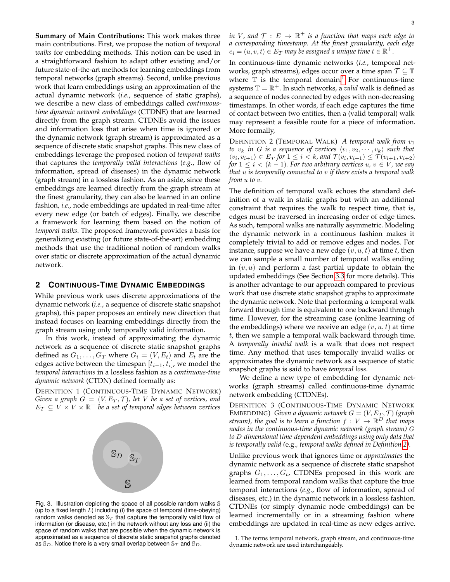**Summary of Main Contributions:** This work makes three main contributions. First, we propose the notion of *temporal walks* for embedding methods. This notion can be used in a straightforward fashion to adapt other existing and/or future state-of-the-art methods for learning embeddings from temporal networks (graph streams). Second, unlike previous work that learn embeddings using an approximation of the actual dynamic network (*i.e.*, sequence of static graphs), we describe a new class of embeddings called *continuoustime dynamic network embeddings* (CTDNE) that are learned directly from the graph stream. CTDNEs avoid the issues and information loss that arise when time is ignored or the dynamic network (graph stream) is approximated as a sequence of discrete static snapshot graphs. This new class of embeddings leverage the proposed notion of *temporal walks* that captures the *temporally valid interactions* (*e.g.*, flow of information, spread of diseases) in the dynamic network (graph stream) in a lossless fashion. As an aside, since these embeddings are learned directly from the graph stream at the finest granularity, they can also be learned in an online fashion, *i.e.*, node embeddings are updated in real-time after every new edge (or batch of edges). Finally, we describe a framework for learning them based on the notion of *temporal walks*. The proposed framework provides a basis for generalizing existing (or future state-of-the-art) embedding methods that use the traditional notion of random walks over static or discrete approximation of the actual dynamic network.

#### <span id="page-2-3"></span>**2 CONTINUOUS-TIME DYNAMIC EMBEDDINGS**

While previous work uses discrete approximations of the dynamic network (*i.e.*, a sequence of discrete static snapshot graphs), this paper proposes an entirely new direction that instead focuses on learning embeddings directly from the graph stream using only temporally valid information.

In this work, instead of approximating the dynamic network as a sequence of discrete static snapshot graphs defined as  $G_1, \ldots, G_T$  where  $G_i = (V, E_t)$  and  $E_t$  are the edges active between the timespan  $\left[t_{i-1}, t_i\right]$ , we model the *temporal interactions* in a lossless fashion as a *continuous-time dynamic network* (CTDN) defined formally as:

DEFINITION 1 (CONTINUOUS-TIME DYNAMIC NETWORK) *Given a graph*  $G = (V, E_T, T)$ *, let* V *be a set of vertices, and*  $E_T \subseteq V \times V \times \mathbb{R}^+$  be a set of temporal edges between vertices



<span id="page-2-0"></span>Fig. 3. Illustration depicting the space of all possible random walks S (up to a fixed length  $L$ ) including (i) the space of temporal (time-obeying) random walks denoted as  $\mathbb{S}_T$  that capture the temporally valid flow of information (or disease, etc.) in the network without any loss and (ii) the space of random walks that are possible when the dynamic network is approximated as a sequence of discrete static snapshot graphs denoted as  $\mathbb{S}_D$ . Notice there is a very small overlap between  $\mathbb{S}_T$  and  $\mathbb{S}_D$ .

in V, and  $\mathcal{T}$   $: E$   $\rightarrow$   $\mathbb{R}^{+}$  is a function that maps each edge to *a corresponding timestamp. At the finest granularity, each edge*  $e_i = (u,v,t) \in E_T$  may be assigned a unique time  $t \in \mathbb{R}^+.$ 

In continuous-time dynamic networks (*i.e.*, temporal networks, graph streams), edges occur over a time span  $\mathcal{T} \subseteq \mathbb{T}$ where  $\mathbb T$  is the temporal domain.<sup>[1](#page-2-1)</sup> For continuous-time systems  $\mathbb{T} = \mathbb{R}^+$ . In such networks, a *valid* walk is defined as a sequence of nodes connected by edges with non-decreasing timestamps. In other words, if each edge captures the time of contact between two entities, then a (valid temporal) walk may represent a feasible route for a piece of information. More formally,

<span id="page-2-2"></span>DEFINITION 2 (TEMPORAL WALK) *A temporal walk from* v1 *to*  $v_k$  *in G is a sequence of vertices*  $\langle v_1, v_2, \cdots, v_k \rangle$  *such that*  $\langle v_i, v_{i+1} \rangle \in E_T$  for  $1 \leq i < k$ , and  $\mathcal{T}(v_i, v_{i+1}) \leq \mathcal{T}(v_{i+1}, v_{i+2})$ *for*  $1 \leq i \leq (k-1)$ *. For two arbitrary vertices*  $u, v \in V$ *, we say that* u *is temporally connected to* v *if there exists a temporal walk from* u *to* v*.*

The definition of temporal walk echoes the standard definition of a walk in static graphs but with an additional constraint that requires the walk to respect time, that is, edges must be traversed in increasing order of edge times. As such, temporal walks are naturally asymmetric. Modeling the dynamic network in a continuous fashion makes it completely trivial to add or remove edges and nodes. For instance, suppose we have a new edge  $(v, u, t)$  at time t, then we can sample a small number of temporal walks ending in  $(v, u)$  and perform a fast partial update to obtain the updated embeddings (See Section [3.3](#page-4-0) for more details). This is another advantage to our approach compared to previous work that use discrete static snapshot graphs to approximate the dynamic network. Note that performing a temporal walk forward through time is equivalent to one backward through time. However, for the streaming case (online learning of the embeddings) where we receive an edge  $(v, u, t)$  at time  $t$ , then we sample a temporal walk backward through time. A *temporally invalid walk* is a walk that does not respect time. Any method that uses temporally invalid walks or approximates the dynamic network as a sequence of static snapshot graphs is said to have *temporal loss*.

We define a new type of embedding for dynamic networks (graph streams) called continuous-time dynamic network embedding (CTDNEs).

DEFINITION 3 (CONTINUOUS-TIME DYNAMIC NETWORK  $\texttt{EMBEDDING)}\;$  Given a dynamic network  $G=(V,E_T,\mathcal{T})\;(graph$ stream), the goal is to learn a function  $f\,:\,V\,\to\,\mathbb{R}^D$  that maps *nodes in the continuous-time dynamic network (graph stream)* G *to* D*-dimensional time-dependent embeddings using only data that is temporally valid (*e.g.*, temporal walks defined in Definition [2\)](#page-2-2).*

Unlike previous work that ignores time or *approximates* the dynamic network as a sequence of discrete static snapshot graphs  $G_1, \ldots, G_t$ , CTDNEs proposed in this work are learned from temporal random walks that capture the true temporal interactions (*e.g.*, flow of information, spread of diseases, etc.) in the dynamic network in a lossless fashion. CTDNEs (or simply dynamic node embeddings) can be learned incrementally or in a streaming fashion where embeddings are updated in real-time as new edges arrive.

<span id="page-2-1"></span>1. The terms temporal network, graph stream, and continuous-time dynamic network are used interchangeably.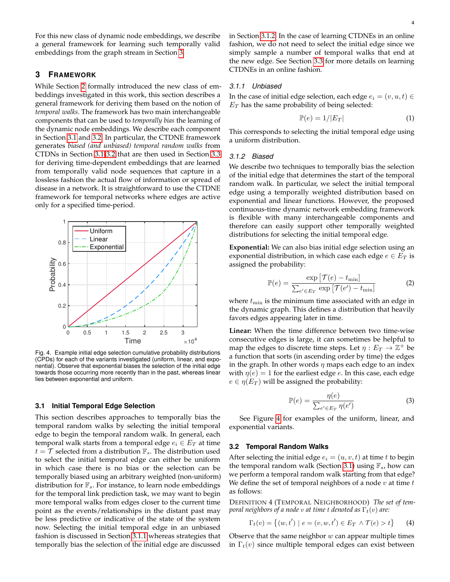For this new class of dynamic node embeddings, we describe a general framework for learning such temporally valid embeddings from the graph stream in Section [3.](#page-3-0)

# <span id="page-3-0"></span>**3 FRAMEWORK**

While Section [2](#page-2-3) formally introduced the new class of embeddings investigated in this work, this section describes a general framework for deriving them based on the notion of *temporal walks*. The framework has two main interchangeable components that can be used to *temporally bias* the learning of the dynamic node embeddings. We describe each component in Section [3.1](#page-3-1) and [3.2.](#page-3-2) In particular, the CTDNE framework generates *biased (and unbiased) temporal random walks* from CTDNs in Section [3.1](#page-3-1)[-3.2](#page-3-2) that are then used in Section [3.3](#page-4-0) for deriving time-dependent embeddings that are learned from temporally valid node sequences that capture in a lossless fashion the actual flow of information or spread of disease in a network. It is straightforward to use the CTDNE framework for temporal networks where edges are active only for a specified time-period.



<span id="page-3-5"></span>Fig. 4. Example initial edge selection cumulative probability distributions (CPDs) for each of the variants investigated (uniform, linear, and exponential). Observe that exponential biases the selection of the initial edge towards those occurring more recently than in the past, whereas linear lies between exponential and uniform.

#### <span id="page-3-1"></span>**3.1 Initial Temporal Edge Selection**

This section describes approaches to temporally bias the temporal random walks by selecting the initial temporal edge to begin the temporal random walk. In general, each temporal walk starts from a temporal edge  $e_i \in E_T$  at time  $t = \mathcal{T}$  selected from a distribution  $\mathbb{F}_s$ . The distribution used to select the initial temporal edge can either be uniform in which case there is no bias or the selection can be temporally biased using an arbitrary weighted (non-uniform) distribution for  $\mathbb{F}_s$ . For instance, to learn node embeddings for the temporal link prediction task, we may want to begin more temporal walks from edges closer to the current time point as the events/relationships in the distant past may be less predictive or indicative of the state of the system now. Selecting the initial temporal edge in an unbiased fashion is discussed in Section [3.1.1](#page-3-3) whereas strategies that temporally bias the selection of the initial edge are discussed

in Section [3.1.2.](#page-3-4) In the case of learning CTDNEs in an online fashion, we do not need to select the initial edge since we simply sample a number of temporal walks that end at the new edge. See Section [3.3](#page-4-0) for more details on learning CTDNEs in an online fashion.

## <span id="page-3-3"></span>*3.1.1 Unbiased*

In the case of initial edge selection, each edge  $e_i = (v, u, t) \in$  $E_T$  has the same probability of being selected:

<span id="page-3-7"></span>
$$
\mathbb{P}(e) = 1/|E_T| \tag{1}
$$

This corresponds to selecting the initial temporal edge using a uniform distribution.

## <span id="page-3-4"></span>*3.1.2 Biased*

We describe two techniques to temporally bias the selection of the initial edge that determines the start of the temporal random walk. In particular, we select the initial temporal edge using a temporally weighted distribution based on exponential and linear functions. However, the proposed continuous-time dynamic network embedding framework is flexible with many interchangeable components and therefore can easily support other temporally weighted distributions for selecting the initial temporal edge.

**Exponential:** We can also bias initial edge selection using an exponential distribution, in which case each edge  $e \in E_T$  is assigned the probability:

<span id="page-3-6"></span>
$$
\mathbb{P}(e) = \frac{\exp\left[\mathcal{T}(e) - t_{\min}\right]}{\sum_{e' \in E_T} \exp\left[\mathcal{T}(e') - t_{\min}\right]}
$$
(2)

where  $t_{\min}$  is the minimum time associated with an edge in the dynamic graph. This defines a distribution that heavily favors edges appearing later in time.

**Linear:** When the time difference between two time-wise consecutive edges is large, it can sometimes be helpful to map the edges to discrete time steps. Let  $\eta: E_T \to \mathbb{Z}^+$  be a function that sorts (in ascending order by time) the edges in the graph. In other words  $\eta$  maps each edge to an index with  $\eta(e) = 1$  for the earliest edge e. In this case, each edge  $e \in \eta(E_T)$  will be assigned the probability:

<span id="page-3-8"></span>
$$
\mathbb{P}(e) = \frac{\eta(e)}{\sum_{e' \in E_T} \eta(e')}
$$
 (3)

See Figure [4](#page-3-5) for examples of the uniform, linear, and exponential variants.

#### <span id="page-3-2"></span>**3.2 Temporal Random Walks**

After selecting the initial edge  $e_i = (u, v, t)$  at time t to begin the temporal random walk (Section [3.1\)](#page-3-1) using  $\mathbb{F}_s$ , how can we perform a temporal random walk starting from that edge? We define the set of temporal neighbors of a node  $v$  at time  $t$ as follows:

DEFINITION 4 (TEMPORAL NEIGHBORHOOD) *The set of temporal neighbors of a node v at time t denoted as*  $\Gamma_t(v)$  *are:* 

$$
\Gamma_t(v) = \{(w, t') \mid e = (v, w, t') \in E_T \land \mathcal{T}(e) > t\}
$$
 (4)

Observe that the same neighbor  $w$  can appear multiple times in  $\Gamma_t(v)$  since multiple temporal edges can exist between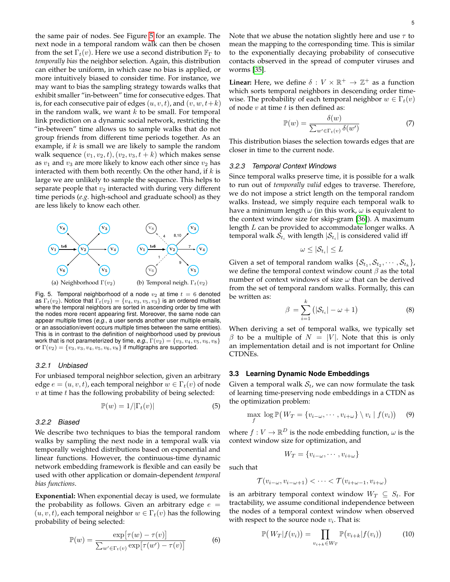the same pair of nodes. See Figure [5](#page-4-1) for an example. The next node in a temporal random walk can then be chosen from the set  $\Gamma_t(v)$ . Here we use a second distribution  $\mathbb{F}_{\Gamma}$  to *temporally bias* the neighbor selection. Again, this distribution can either be uniform, in which case no bias is applied, or more intuitively biased to consider time. For instance, we may want to bias the sampling strategy towards walks that exhibit smaller "in-between" time for consecutive edges. That is, for each consecutive pair of edges  $(u, v, t)$ , and  $(v, w, t+k)$ in the random walk, we want  $k$  to be small. For temporal link prediction on a dynamic social network, restricting the "in-between" time allows us to sample walks that do not group friends from different time periods together. As an example, if  $k$  is small we are likely to sample the random walk sequence  $(v_1, v_2, t), (v_2, v_3, t + k)$  which makes sense as  $v_1$  and  $v_3$  are more likely to know each other since  $v_2$  has interacted with them both recently. On the other hand, if  $k$  is large we are unlikely to sample the sequence. This helps to separate people that  $v_2$  interacted with during very different time periods (*e.g.* high-school and graduate school) as they are less likely to know each other.



<span id="page-4-1"></span>Fig. 5. Temporal neighborhood of a node  $v_2$  at time  $t = 6$  denoted as  $\Gamma_t(v_2)$ . Notice that  $\Gamma_t(v_2) = \{v_4, v_3, v_5, v_3\}$  is an ordered multiset where the temporal neighbors are sorted in ascending order by time with the nodes more recent appearing first. Moreover, the same node can appear multiple times (*e.g.*, a user sends another user multiple emails, or an association/event occurs multiple times between the same entities). This is in contrast to the definition of neighborhood used by previous work that is not parameterized by time, *e.g.*,  $\Gamma(v_2) = \{v_3, v_4, v_5, v_6, v_8\}$ or  $\Gamma(v_2) = \{v_3, v_3, v_4, v_5, v_6, v_8\}$  if multigraphs are supported.

#### *3.2.1 Unbiased*

For unbiased temporal neighbor selection, given an arbitrary edge  $e = (u, v, t)$ , each temporal neighbor  $w \in \Gamma_t(v)$  of node  $v$  at time  $t$  has the following probability of being selected:

<span id="page-4-5"></span>
$$
\mathbb{P}(w) = 1/|\Gamma_t(v)| \tag{5}
$$

#### *3.2.2 Biased*

We describe two techniques to bias the temporal random walks by sampling the next node in a temporal walk via temporally weighted distributions based on exponential and linear functions. However, the continuous-time dynamic network embedding framework is flexible and can easily be used with other application or domain-dependent *temporal bias functions*.

**Exponential:** When exponential decay is used, we formulate the probability as follows. Given an arbitrary edge  $e =$  $(u, v, t)$ , each temporal neighbor  $w \in \Gamma_t(v)$  has the following probability of being selected:

<span id="page-4-4"></span>
$$
\mathbb{P}(w) = \frac{\exp[\tau(w) - \tau(v)]}{\sum_{w' \in \Gamma_t(v)} \exp[\tau(w') - \tau(v)]}
$$
(6)

Note that we abuse the notation slightly here and use  $\tau$  to mean the mapping to the corresponding time. This is similar to the exponentially decaying probability of consecutive contacts observed in the spread of computer viruses and worms [\[35\]](#page-12-34).

**Linear:** Here, we define  $\delta: V \times \mathbb{R}^+ \to \mathbb{Z}^+$  as a function which sorts temporal neighbors in descending order timewise. The probability of each temporal neighbor  $w \in \Gamma_t(v)$ of node  $v$  at time  $t$  is then defined as:

<span id="page-4-6"></span>
$$
\mathbb{P}(w) = \frac{\delta(w)}{\sum_{w' \in \Gamma_t(v)} \delta(w')} \tag{7}
$$

This distribution biases the selection towards edges that are closer in time to the current node.

#### *3.2.3 Temporal Context Windows*

Since temporal walks preserve time, it is possible for a walk to run out of *temporally valid* edges to traverse. Therefore, we do not impose a strict length on the temporal random walks. Instead, we simply require each temporal walk to have a minimum length  $\omega$  (in this work,  $\omega$  is equivalent to the context window size for skip-gram [\[36\]](#page-12-35)). A maximum length  $L$  can be provided to accommodate longer walks. A temporal walk  $\mathcal{S}_{t_i}$  with length  $|\mathcal{S}_{t_i}|$  is considered valid iff

$$
\omega \leq |\mathcal{S}_{t_i}| \leq L
$$

Given a set of temporal random walks  $\{\mathcal{S}_{t_1},\mathcal{S}_{t_2},\cdots,\mathcal{S}_{t_k}\},$ we define the temporal context window count  $\beta$  as the total number of context windows of size  $\omega$  that can be derived from the set of temporal random walks. Formally, this can be written as:

$$
\beta = \sum_{i=1}^{k} (|\mathcal{S}_{t_i}| - \omega + 1) \tag{8}
$$

When deriving a set of temporal walks, we typically set  $\beta$  to be a multiple of  $N = |V|$ . Note that this is only an implementation detail and is not important for Online CTDNEs.

#### <span id="page-4-0"></span>**3.3 Learning Dynamic Node Embeddings**

Given a temporal walk  $S_t$ , we can now formulate the task of learning time-preserving node embeddings in a CTDN as the optimization problem:

$$
\max_{f} \log \mathbb{P}\big(W_T = \{v_{i-\omega}, \cdots, v_{i+\omega}\} \setminus v_i \mid f(v_i)\big) \quad (9)
$$

where  $f: V \to \mathbb{R}^D$  is the node embedding function,  $\omega$  is the context window size for optimization, and

<span id="page-4-3"></span><span id="page-4-2"></span>
$$
W_T = \{v_{i-\omega}, \cdots, v_{i+\omega}\}\
$$

such that

$$
\mathcal{T}(v_{i-\omega}, v_{i-\omega+1}) < \cdots < \mathcal{T}(v_{i+\omega-1}, v_{i+\omega})
$$

is an arbitrary temporal context window  $W_T \subseteq S_t$ . For tractability, we assume conditional independence between the nodes of a temporal context window when observed with respect to the source node  $v_i$ . That is:

$$
\mathbb{P}(W_T|f(v_i)) = \prod_{v_{i+k} \in W_T} \mathbb{P}(v_{i+k}|f(v_i)) \tag{10}
$$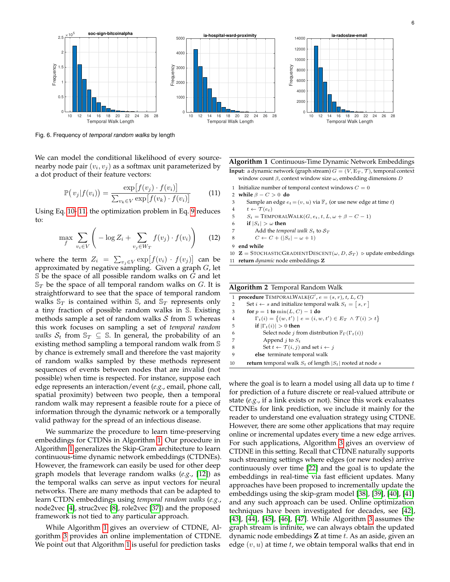

<span id="page-5-2"></span>Fig. 6. Frequency of *temporal random walks* by length

We can model the conditional likelihood of every sourcenearby node pair  $(v_i, v_j)$  as a softmax unit parameterized by a dot product of their feature vectors:

$$
\mathbb{P}(v_j|f(v_i)) = \frac{\exp[f(v_j) \cdot f(v_i)]}{\sum_{v_k \in V} \exp[f(v_k) \cdot f(v_i)]}
$$
(11)

Using Eq. [10-](#page-4-2) [11,](#page-5-0) the optimization problem in Eq. [9](#page-4-3) reduces to:

$$
\max_{f} \sum_{v_i \in V} \left( -\log Z_i + \sum_{v_j \in W_T} f(v_j) \cdot f(v_i) \right) \tag{12}
$$

where the term  $Z_i = \sum_{v_j \in V} \exp[f(v_i) \cdot f(v_j)]$  can be approximated by negative sampling. Given a graph  $G$ , let  $\mathbb S$  be the space of all possible random walks on  $G$  and let  $\mathbb{S}_T$  be the space of all temporal random walks on G. It is straightforward to see that the space of temporal random walks  $\mathbb{S}_T$  is contained within  $\mathbb{S}_r$ , and  $\mathbb{S}_T$  represents only a tiny fraction of possible random walks in S. Existing methods sample a set of random walks  $S$  from  $S$  whereas this work focuses on sampling a set of *temporal random walks*  $S_t$  from  $\mathbb{S}_T \subseteq \mathbb{S}$ . In general, the probability of an existing method sampling a temporal random walk from S by chance is extremely small and therefore the vast majority of random walks sampled by these methods represent sequences of events between nodes that are invalid (not possible) when time is respected. For instance, suppose each edge represents an interaction/event (*e.g.*, email, phone call, spatial proximity) between two people, then a temporal random walk may represent a feasible route for a piece of information through the dynamic network or a temporally valid pathway for the spread of an infectious disease.

We summarize the procedure to learn time-preserving embeddings for CTDNs in Algorithm [1.](#page-5-1) Our procedure in Algorithm [1](#page-5-1) generalizes the Skip-Gram architecture to learn continuous-time dynamic network embeddings (CTDNEs). However, the framework can easily be used for other deep graph models that leverage random walks (*e.g.*, [\[12\]](#page-12-11)) as the temporal walks can serve as input vectors for neural networks. There are many methods that can be adapted to learn CTDN embeddings using *temporal random walks* (*e.g.*, node2vec [\[4\]](#page-12-3), struc2vec [\[8\]](#page-12-7), role2vec [\[37\]](#page-12-36)) and the proposed framework is not tied to any particular approach.

While Algorithm [1](#page-5-1) gives an overview of CTDNE, Algorithm [3](#page-6-0) provides an online implementation of CTDNE. We point out that Algorithm [1](#page-5-1) is useful for prediction tasks

<span id="page-5-1"></span>**Algorithm 1** Continuous-Time Dynamic Network Embeddings

**Input:** a dynamic network (graph stream)  $G = (V, E_T, \mathcal{T})$ , temporal context window count  $\beta$ , context window size  $\omega$ , embedding dimensions  $D$ 

1 Initialize number of temporal context windows  $C = 0$ 

<span id="page-5-0"></span>**while**  $\beta - C > 0$  **do** 3 Sample an edge  $e_t = (v, u)$  via  $\mathbb{F}_s$  (or use new edge at time  $t$ )  $t \leftarrow \mathcal{T}(e_t)$  $S_t = \text{TempORALWALK}(G, e_t, t, L, \omega + \beta - C - 1)$ **if**  $|S_t| > \omega$  then 7 Add the *temporal walk*  $S_t$  to  $S_T$  $C \leftarrow C + (|S_t| - \omega + 1)$ **end while**

10 **Z** = STOCHASTICGRADIENTDESCENT( $\omega$ , D,  $S_T$ )  $\triangleright$  update embeddings 11 **return** *dynamic* node embeddings Z

|    | <b>Algorithm 2</b> Temporal Random Walk                                          |  |  |  |  |
|----|----------------------------------------------------------------------------------|--|--|--|--|
|    | <b>procedure</b> TEMPORALWALK $(G', e = (s, r), t, L, C)$                        |  |  |  |  |
| 2  | Set $i \leftarrow s$ and initialize temporal walk $S_t = [s, r]$                 |  |  |  |  |
| 3  | for $p = 1$ to $min(L, C) - 1$ do                                                |  |  |  |  |
| 4  | $\Gamma_t(i) = \{(w, t') \mid e = (i, w, t') \in E_T \land \mathcal{T}(i) > t\}$ |  |  |  |  |
| 5  | if $ \Gamma_t(i)  > 0$ then                                                      |  |  |  |  |
| 6  | Select node j from distribution $\mathbb{F}_{\Gamma}(\Gamma_t(i))$               |  |  |  |  |
| 7  | Append <i>j</i> to $S_t$                                                         |  |  |  |  |
| 8  | Set $t \leftarrow \mathcal{T}(i, j)$ and set $i \leftarrow j$                    |  |  |  |  |
| 9  | else terminate temporal walk                                                     |  |  |  |  |
| 10 | <b>return</b> temporal walk $S_t$ of length $ S_t $ rooted at node s             |  |  |  |  |

where the goal is to learn a model using all data up to time  $t$ for prediction of a future discrete or real-valued attribute or state (*e.g.*, if a link exists or not). Since this work evaluates CTDNEs for link prediction, we include it mainly for the reader to understand one evaluation strategy using CTDNE. However, there are some other applications that may require online or incremental updates every time a new edge arrives. For such applications, Algorithm [3](#page-6-0) gives an overview of CTDNE in this setting. Recall that CTDNE naturally supports such streaming settings where edges (or new nodes) arrive continuously over time [\[22\]](#page-12-21) and the goal is to update the embeddings in real-time via fast efficient updates. Many approaches have been proposed to incrementally update the embeddings using the skip-gram model [\[38\]](#page-12-37), [\[39\]](#page-12-38), [\[40\]](#page-12-39), [\[41\]](#page-12-40) and any such approach can be used. Online optimization techniques have been investigated for decades, see [\[42\]](#page-12-41), [\[43\]](#page-12-42), [\[44\]](#page-12-43), [\[45\]](#page-13-0), [\[46\]](#page-13-1), [\[47\]](#page-13-2). While Algorithm [3](#page-6-0) assumes the graph stream is infinite, we can always obtain the updated dynamic node embeddings  $Z$  at time  $t$ . As an aside, given an edge  $(v, u)$  at time t, we obtain temporal walks that end in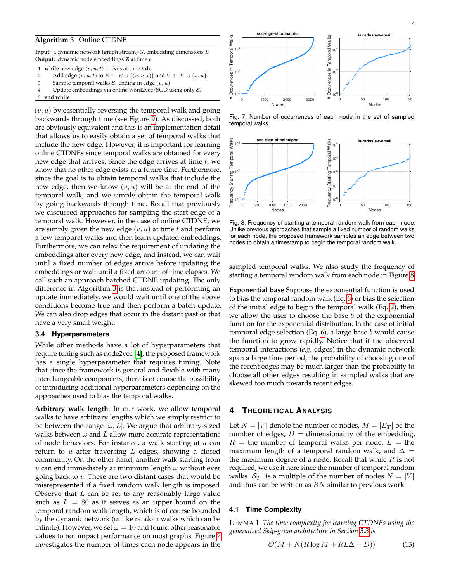## <span id="page-6-0"></span>**Algorithm 3** Online CTDNE

**Input:** a dynamic network (graph stream) G, embedding dimensions D **Output:** dynamic node embeddings **Z** at time *t* 

- 1 **while** new edge  $(v, u, t)$  arrives at time  $t$  **do**
- 2 Add edge  $(v, u, t)$  to  $E \leftarrow E \cup \{(v, u, t)\}$  and  $V \leftarrow V \cup \{v, u\}$
- 3 Sample temporal walks  $S_t$  ending in edge  $(v, u)$
- 4 Update embeddings via online word2vec/SGD using only  $S_t$
- 5 **end while**

 $(v, u)$  by essentially reversing the temporal walk and going backwards through time (see Figure [9\)](#page-10-0). As discussed, both are obviously equivalent and this is an implementation detail that allows us to easily obtain a set of temporal walks that include the new edge. However, it is important for learning online CTDNEs since temporal walks are obtained for every new edge that arrives. Since the edge arrives at time  $t$ , we know that no other edge exists at a future time. Furthermore, since the goal is to obtain temporal walks that include the new edge, then we know  $(v, u)$  will be at the end of the temporal walk, and we simply obtain the temporal walk by going backwards through time. Recall that previously we discussed approaches for sampling the start edge of a temporal walk. However, in the case of online CTDNE, we are simply given the new edge  $(v, u)$  at time t and perform a few temporal walks and then learn updated embeddings. Furthermore, we can relax the requirement of updating the embeddings after every new edge, and instead, we can wait until a fixed number of edges arrive before updating the embeddings or wait until a fixed amount of time elapses. We call such an approach batched CTDNE updating. The only difference in Algorithm [3](#page-6-0) is that instead of performing an update immediately, we would wait until one of the above conditions become true and then perform a batch update. We can also drop edges that occur in the distant past or that have a very small weight.

## **3.4 Hyperparameters**

While other methods have a lot of hyperparameters that require tuning such as node2vec [\[4\]](#page-12-3), the proposed framework has a single hyperparameter that requires tuning. Note that since the framework is general and flexible with many interchangeable components, there is of course the possibility of introducing additional hyperparameters depending on the approaches used to bias the temporal walks.

**Arbitrary walk length**: In our work, we allow temporal walks to have arbitrary lengths which we simply restrict to be between the range  $[\omega, L]$ . We argue that arbitrary-sized walks between  $\omega$  and  $L$  allow more accurate representations of node behaviors. For instance, a walk starting at  $u$  can return to  $u$  after traversing  $L$  edges, showing a closed community. On the other hand, another walk starting from *v* can end immediately at minimum length  $\omega$  without ever going back to  $v$ . These are two distant cases that would be misrepresented if a fixed random walk length is imposed. Observe that  $L$  can be set to any reasonably large value such as  $L = 80$  as it serves as an upper bound on the temporal random walk length, which is of course bounded by the dynamic network (unlike random walks which can be infinite). However, we set  $\omega = 10$  and found other reasonable values to not impact performance on most graphs. Figure [7](#page-6-1) investigates the number of times each node appears in the



<span id="page-6-1"></span>Fig. 7. Number of occurrences of each node in the set of sampled temporal walks.



<span id="page-6-2"></span>Fig. 8. Frequency of starting a temporal random walk from each node. Unlike previous approaches that sample a fixed number of random walks for each node, the proposed framework samples an edge between two nodes to obtain a timestamp to begin the temporal random walk.

sampled temporal walks. We also study the frequency of starting a temporal random walk from each node in Figure [8.](#page-6-2)

**Exponential base** Suppose the exponential function is used to bias the temporal random walk (Eq. [6\)](#page-4-4) or bias the selection of the initial edge to begin the temporal walk (Eq. [2\)](#page-3-6), then we allow the user to choose the base  $b$  of the exponential function for the exponential distribution. In the case of initial temporal edge selection (Eq.  $6$ ), a large base b would cause the function to grow rapidly. Notice that if the observed temporal interactions (*e.g.* edges) in the dynamic network span a large time period, the probability of choosing one of the recent edges may be much larger than the probability to choose all other edges resulting in sampled walks that are skewed too much towards recent edges.

## **4 THEORETICAL ANALYSIS**

Let  $N = |V|$  denote the number of nodes,  $M = |E_T|$  be the number of edges,  $D =$  dimensionality of the embedding,  $R =$  the number of temporal walks per node,  $L =$  the maximum length of a temporal random walk, and  $\Delta =$ the maximum degree of a node. Recall that while  $R$  is not required, we use it here since the number of temporal random walks  $|\mathcal{S}_T|$  is a multiple of the number of nodes  $N = |V|$ and thus can be written as  $RN$  similar to previous work.

#### **4.1 Time Complexity**

LEMMA 1 *The time complexity for learning CTDNEs using the generalized Skip-gram architecture in Section [3.3](#page-4-0) is*

$$
\mathcal{O}(M + N(R \log M + RL\Delta + D))\tag{13}
$$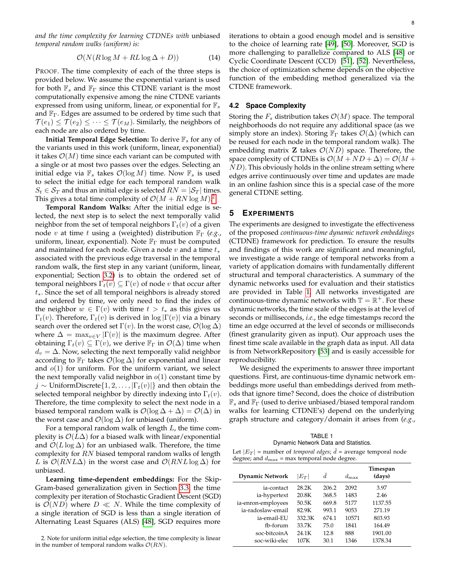*and the time complexity for learning CTDNEs with* unbiased *temporal random walks (uniform) is:*

$$
\mathcal{O}(N(R\log M + RL\log \Delta + D))\tag{14}
$$

PROOF. The time complexity of each of the three steps is provided below. We assume the exponential variant is used for both  $\mathbb{F}_s$  and  $\mathbb{F}_\Gamma$  since this CTDNE variant is the most computationally expensive among the nine CTDNE variants expressed from using uniform, linear, or exponential for  $\mathbb{F}_s$ and  $\mathbb{F}_{\Gamma}$ . Edges are assumed to be ordered by time such that  $\mathcal{T}(e_1) \leq \mathcal{T}(e_2) \leq \cdots \leq \mathcal{T}(e_M)$ . Similarly, the neighbors of each node are also ordered by time.

**Initial Temporal Edge Selection:** To derive  $\mathbb{F}_s$  for any of the variants used in this work (uniform, linear, exponential) it takes  $\mathcal{O}(M)$  time since each variant can be computed with a single or at most two passes over the edges. Selecting an initial edge via  $\mathbb{F}_s$  takes  $\mathcal{O}(\log M)$  time. Now  $\mathbb{F}_s$  is used to select the initial edge for each temporal random walk  $S_t \in S_T$  and thus an initial edge is selected  $RN = |\mathcal{S}_T|$  times. This gives a total time complexity of  $\mathcal{O}(M + RN \log M)^2$  $\mathcal{O}(M + RN \log M)^2$ 

**Temporal Random Walks:** After the initial edge is selected, the next step is to select the next temporally valid neighbor from the set of temporal neighbors  $\Gamma_t(v)$  of a given node v at time t using a (weighted) distribution F<sup>Γ</sup> (*e.g.*, uniform, linear, exponential). Note  $\mathbb{F}_{\Gamma}$  must be computed and maintained for each node. Given a node  $v$  and a time  $t_*$ associated with the previous edge traversal in the temporal random walk, the first step in any variant (uniform, linear, exponential; Section [3.2\)](#page-3-2) is to obtain the ordered set of temporal neighbors  $\Gamma_t(v) \subseteq \Gamma(v)$  of node v that occur after  $t_{*}$ . Since the set of all temporal neighbors is already stored and ordered by time, we only need to find the index of the neighbor  $w \in \Gamma(v)$  with time  $t > t_*$  as this gives us  $\Gamma_t(v)$ . Therefore,  $\Gamma_t(v)$  is derived in log  $|\Gamma(v)|$  via a binary search over the ordered set  $\Gamma(v)$ . In the worst case,  $\mathcal{O}(\log \Delta)$ where  $\Delta = \max_{v \in V} |\Gamma(v)|$  is the maximum degree. After obtaining  $\Gamma_t(v) \subseteq \Gamma(v)$ , we derive  $\mathbb{F}_{\Gamma}$  in  $\mathcal{O}(\Delta)$  time when  $d_v = \Delta$ . Now, selecting the next temporally valid neighbor according to  $\mathbb{F}_{\Gamma}$  takes  $\mathcal{O}(\log \Delta)$  for exponential and linear and  $o(1)$  for uniform. For the uniform variant, we select the next temporally valid neighbor in  $o(1)$  constant time by  $j \sim$  UniformDiscrete $\{1, 2, \ldots, |\Gamma_t(v)|\}$  and then obtain the selected temporal neighbor by directly indexing into  $\Gamma_t(v)$ . Therefore, the time complexity to select the next node in a biased temporal random walk is  $\mathcal{O}(\log \Delta + \Delta) = \mathcal{O}(\Delta)$  in the worst case and  $\mathcal{O}(\log \Delta)$  for unbiased (uniform).

For a temporal random walk of length  $L$ , the time complexity is  $\mathcal{O}(L\Delta)$  for a biased walk with linear/exponential and  $\mathcal{O}(L \log \Delta)$  for an unbiased walk. Therefore, the time complexity for RN biased temporal random walks of length L is  $\mathcal{O}(RNL\Delta)$  in the worst case and  $\mathcal{O}(RNL\log \Delta)$  for unbiased.

**Learning time-dependent embeddings:** For the Skip-Gram-based generalization given in Section [3.3,](#page-4-0) the time complexity per iteration of Stochastic Gradient Descent (SGD) is  $\mathcal{O}(ND)$  where  $D \ll N$ . While the time complexity of a single iteration of SGD is less than a single iteration of Alternating Least Squares (ALS) [\[48\]](#page-13-3), SGD requires more

iterations to obtain a good enough model and is sensitive to the choice of learning rate [\[49\]](#page-13-4), [\[50\]](#page-13-5). Moreover, SGD is more challenging to parallelize compared to ALS [\[48\]](#page-13-3) or Cyclic Coordinate Descent (CCD) [\[51\]](#page-13-6), [\[52\]](#page-13-7). Nevertheless, the choice of optimization scheme depends on the objective function of the embedding method generalized via the CTDNE framework.

## **4.2 Space Complexity**

Storing the  $F_s$  distribution takes  $\mathcal{O}(M)$  space. The temporal neighborhoods do not require any additional space (as we simply store an index). Storing  $\mathbb{F}_{\Gamma}$  takes  $\mathcal{O}(\Delta)$  (which can be reused for each node in the temporal random walk). The embedding matrix **Z** takes  $\mathcal{O}(ND)$  space. Therefore, the space complexity of CTDNEs is  $\mathcal{O}(M + ND + \Delta) = \mathcal{O}(M +$  $ND$ ). This obviously holds in the online stream setting where edges arrive continuously over time and updates are made in an online fashion since this is a special case of the more general CTDNE setting.

## **5 EXPERIMENTS**

The experiments are designed to investigate the effectiveness of the proposed *continuous-time dynamic network embeddings* (CTDNE) framework for prediction. To ensure the results and findings of this work are significant and meaningful, we investigate a wide range of temporal networks from a variety of application domains with fundamentally different structural and temporal characteristics. A summary of the dynamic networks used for evaluation and their statistics are provided in Table [1.](#page-7-1) All networks investigated are continuous-time dynamic networks with  $\mathbb{T} = \mathbb{R}^+$ . For these dynamic networks, the time scale of the edges is at the level of seconds or milliseconds, *i.e.*, the edge timestamps record the time an edge occurred at the level of seconds or milliseconds (finest granularity given as input). Our approach uses the finest time scale available in the graph data as input. All data is from NetworkRepository [\[53\]](#page-13-8) and is easily accessible for reproducibility.

We designed the experiments to answer three important questions. First, are continuous-time dynamic network embeddings more useful than embeddings derived from methods that ignore time? Second, does the choice of distribution  $\mathbb{F}_s$  and  $\mathbb{F}_{\Gamma}$  (used to derive unbiased/biased temporal random walks for learning CTDNE's) depend on the underlying graph structure and category/domain it arises from (*e.g.*,

TABLE 1 Dynamic Network Data and Statistics.

<span id="page-7-1"></span>

|                                                          | Let $ E_T $ = number of <i>temporal edges; d</i> = average temporal node |  |
|----------------------------------------------------------|--------------------------------------------------------------------------|--|
| degree; and $d_{\text{max}}$ = max temporal node degree. |                                                                          |  |

| <b>Dynamic Network</b> | $ E_T $ | d     | $d_{\text{max}}$ | Timespan<br>(days) |
|------------------------|---------|-------|------------------|--------------------|
| ia-contact             | 28.2K   | 206.2 | 2092             | 3.97               |
| ia-hypertext           | 20.8K   | 368.5 | 1483             | 2.46               |
| ia-enron-employees     | 50.5K   | 669.8 | 5177             | 1137.55            |
| ia-radoslaw-email      | 82.9K   | 993.1 | 9053             | 271.19             |
| ia-email-EU            | 332.3K  | 674.1 | 10571            | 803.93             |
| fb-forum               | 33.7K   | 75.0  | 1841             | 164.49             |
| soc-bitcoin A          | 24.1K   | 12.8  | 888              | 1901.00            |
| soc-wiki-elec          | 107K    | 30.1  | 1346             | 1378.34            |

<span id="page-7-0"></span><sup>2.</sup> Note for uniform initial edge selection, the time complexity is linear in the number of temporal random walks  $\mathcal{O}(RN)$ .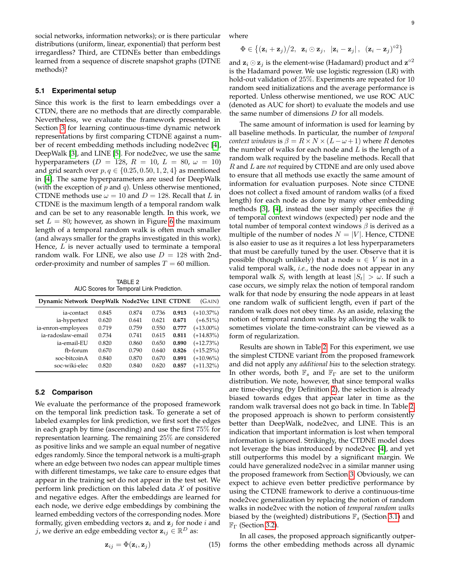social networks, information networks); or is there particular distributions (uniform, linear, exponential) that perform best irregardless? Third, are CTDNEs better than embeddings learned from a sequence of discrete snapshot graphs (DTNE methods)?

#### **5.1 Experimental setup**

Since this work is the first to learn embeddings over a CTDN, there are no methods that are directly comparable. Nevertheless, we evaluate the framework presented in Section [3](#page-3-0) for learning continuous-time dynamic network representations by first comparing CTDNE against a number of recent embedding methods including node2vec [\[4\]](#page-12-3), DeepWalk [\[3\]](#page-12-2), and LINE [\[5\]](#page-12-4). For node2vec, we use the same hyperparameters ( $D = 128$ ,  $R = 10$ ,  $L = 80$ ,  $\omega = 10$ ) and grid search over  $p, q \in \{0.25, 0.50, 1, 2, 4\}$  as mentioned in [\[4\]](#page-12-3). The same hyperparameters are used for DeepWalk (with the exception of  $p$  and  $q$ ). Unless otherwise mentioned, CTDNE methods use  $\omega = 10$  and  $D = 128$ . Recall that L in CTDNE is the maximum length of a temporal random walk and can be set to any reasonable length. In this work, we set  $L = 80$ ; however, as shown in Figure [6](#page-5-2) the maximum length of a temporal random walk is often much smaller (and always smaller for the graphs investigated in this work). Hence,  $L$  is never actually used to terminate a temporal random walk. For LINE, we also use  $D = 128$  with 2ndorder-proximity and number of samples  $T = 60$  million.

TABLE 2 AUC Scores for Temporal Link Prediction.

<span id="page-8-0"></span>

| Dynamic Network DeepWalk Node2Vec LINE CTDNE |       |       |       |       | (GAIN)       |
|----------------------------------------------|-------|-------|-------|-------|--------------|
| ia-contact                                   | 0.845 | 0.874 | 0.736 | 0.913 | $(+10.37\%)$ |
| ia-hypertext                                 | 0.620 | 0.641 | 0.621 | 0.671 | $(+6.51\%)$  |
| ia-enron-employees                           | 0.719 | 0.759 | 0.550 | 0.777 | $(+13.00\%)$ |
| ia-radoslaw-email                            | 0.734 | 0.741 | 0.615 | 0.811 | $(+14.83\%)$ |
| ia-email-EU                                  | 0.820 | 0.860 | 0.650 | 0.890 | $(+12.73%)$  |
| fb-forum                                     | 0.670 | 0.790 | 0.640 | 0.826 | $(+15.25%)$  |
| soc-bitcoinA                                 | 0.840 | 0.870 | 0.670 | 0.891 | $(+10.96\%)$ |
| soc-wiki-elec                                | 0.820 | 0.840 | 0.620 | 0.857 | $(+11.32\%)$ |

## **5.2 Comparison**

We evaluate the performance of the proposed framework on the temporal link prediction task. To generate a set of labeled examples for link prediction, we first sort the edges in each graph by time (ascending) and use the first 75% for representation learning. The remaining 25% are considered as positive links and we sample an equal number of negative edges randomly. Since the temporal network is a multi-graph where an edge between two nodes can appear multiple times with different timestamps, we take care to ensure edges that appear in the training set do not appear in the test set. We perform link prediction on this labeled data  $\mathcal X$  of positive and negative edges. After the embeddings are learned for each node, we derive edge embeddings by combining the learned embedding vectors of the corresponding nodes. More formally, given embedding vectors  $z_i$  and  $z_j$  for node i and j, we derive an edge embedding vector  $\mathbf{z}_{ij} \in \mathbb{R}^D$  as:

$$
\mathbf{z}_{ij} = \Phi(\mathbf{z}_i, \mathbf{z}_j) \tag{15}
$$

where

$$
\Phi \in \{(\mathbf{z}_i + \mathbf{z}_j)/2, \ \mathbf{z}_i \odot \mathbf{z}_j, \ |\mathbf{z}_i - \mathbf{z}_j|, \ (\mathbf{z}_i - \mathbf{z}_j)^{o2}\}
$$

and  $\mathbf{z}_i \odot \mathbf{z}_j$  is the element-wise (Hadamard) product and  $\mathbf{z}^{\circ 2}$ is the Hadamard power. We use logistic regression (LR) with hold-out validation of 25%. Experiments are repeated for 10 random seed initializations and the average performance is reported. Unless otherwise mentioned, we use ROC AUC (denoted as AUC for short) to evaluate the models and use the same number of dimensions  $D$  for all models.

The same amount of information is used for learning by all baseline methods. In particular, the number of *temporal context windows* is  $\beta = R \times N \times (L - \omega + 1)$  where R denotes the number of walks for each node and  $L$  is the length of a random walk required by the baseline methods. Recall that R and L are *not* required by CTDNE and are only used above to ensure that all methods use exactly the same amount of information for evaluation purposes. Note since CTDNE does not collect a fixed amount of random walks (of a fixed length) for each node as done by many other embedding methods [\[3\]](#page-12-2), [\[4\]](#page-12-3), instead the user simply specifies the  $#$ of temporal context windows (expected) per node and the total number of temporal context windows  $\beta$  is derived as a multiple of the number of nodes  $N = |V|$ . Hence, CTDNE is also easier to use as it requires a lot less hyperparameters that must be carefully tuned by the user. Observe that it is possible (though unlikely) that a node  $u \in V$  is not in a valid temporal walk, *i.e.*, the node does not appear in any temporal walk  $S_t$  with length at least  $|S_t| > \omega$ . If such a case occurs, we simply relax the notion of temporal random walk for that node by ensuring the node appears in at least one random walk of sufficient length, even if part of the random walk does not obey time. As an aside, relaxing the notion of temporal random walks by allowing the walk to sometimes violate the time-constraint can be viewed as a form of regularization.

Results are shown in Table [2.](#page-8-0) For this experiment, we use the simplest CTDNE variant from the proposed framework and did not apply any *additional bias* to the selection strategy. In other words, both  $\mathbb{F}_s$  and  $\mathbb{F}_\Gamma$  are set to the uniform distribution. We note, however, that since temporal walks are time-obeying (by Definition [2\)](#page-2-2), the selection is already biased towards edges that appear later in time as the random walk traversal does not go back in time. In Table [2,](#page-8-0) the proposed approach is shown to perform consistently better than DeepWalk, node2vec, and LINE. This is an indication that important information is lost when temporal information is ignored. Strikingly, the CTDNE model does not leverage the bias introduced by node2vec [\[4\]](#page-12-3), and yet still outperforms this model by a significant margin. We could have generalized node2vec in a similar manner using the proposed framework from Section [3.](#page-3-0) Obviously, we can expect to achieve even better predictive performance by using the CTDNE framework to derive a continuous-time node2vec generalization by replacing the notion of random walks in node2vec with the notion of *temporal random walks* biased by the (weighted) distributions  $\mathbb{F}_s$  (Section [3.1\)](#page-3-1) and  $\mathbb{F}_{\Gamma}$  (Section [3.2\)](#page-3-2).

In all cases, the proposed approach significantly outperforms the other embedding methods across all dynamic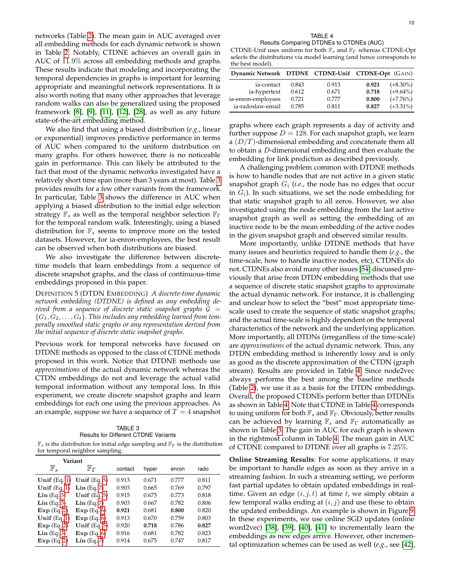networks (Table [2\)](#page-8-0). The mean gain in AUC averaged over all embedding methods for each dynamic network is shown in Table [2.](#page-8-0) Notably, CTDNE achieves an overall gain in AUC of 11.9% across all embedding methods and graphs. These results indicate that modeling and incorporating the temporal dependencies in graphs is important for learning appropriate and meaningful network representations. It is also worth noting that many other approaches that leverage random walks can also be generalized using the proposed framework [\[8\]](#page-12-7), [\[9\]](#page-12-8), [\[11\]](#page-12-10), [\[12\]](#page-12-11), [\[28\]](#page-12-27), as well as any future state-of-the-art embedding method.

We also find that using a biased distribution (*e.g.*, linear or exponential) improves predictive performance in terms of AUC when compared to the uniform distribution on many graphs. For others however, there is no noticeable gain in performance. This can likely be attributed to the fact that most of the dynamic networks investigated have a relatively short time span (more than 3 years at most). Table [3](#page-9-0) provides results for a few other variants from the framework. In particular, Table [3](#page-9-0) shows the difference in AUC when applying a biased distribution to the initial edge selection strategy  $\mathbb{F}_s$  as well as the temporal neighbor selection  $\mathbb{F}_{\Gamma}$ for the temporal random walk. Interestingly, using a biased distribution for  $\mathbb{F}_s$  seems to improve more on the tested datasets. However, for ia-enron-employees, the best result can be observed when both distributions are biased.

We also investigate the difference between discretetime models that learn embeddings from a sequence of discrete snapshot graphs, and the class of continuous-time embeddings proposed in this paper.

DEFINITION 5 (DTDN EMBEDDING) *A discrete-time dynamic network embedding (DTDNE) is defined as any embedding derived from a sequence of discrete static snapshot graphs* G =  ${G_1, G_2, \ldots, G_t}$ . This includes any embedding learned from tem*porally smoothed static graphs or any representation derived from the initial sequence of discrete static snapshot graphs.*

Previous work for temporal networks have focused on DTDNE methods as opposed to the class of CTDNE methods proposed in this work. Notice that DTDNE methods use *approximations* of the actual dynamic network whereas the CTDN embeddings do not and leverage the actual valid temporal information without any temporal loss. In this experiment, we create discrete snapshot graphs and learn embeddings for each one using the previous approaches. As an example, suppose we have a sequence of  $T = 4$  snapshot

<span id="page-9-0"></span>

| TABLE 3                                                                                                  |
|----------------------------------------------------------------------------------------------------------|
| <b>Results for Different CTDNE Variants</b>                                                              |
| $\mathbb{F}_s$ is the distribution for initial edge sampling and $\mathbb{F}_\Gamma$ is the distribution |

for temporal neighbor sampling.

|                        | $\cdot$<br>л.          | $\checkmark$ |       |       |       |  |
|------------------------|------------------------|--------------|-------|-------|-------|--|
| Variant                |                        |              |       |       |       |  |
| $\mathbb{F}_s$         | ${\mathbb F}_{\Gamma}$ | contact      | hyper | enron | rado  |  |
| Unif $(Eq. 1)$         | Unif $(Eq. 5)$         | 0.913        | 0.671 | 0.777 | 0.811 |  |
| Unif $(Eq. 1)$         | $Lin$ (Eq. 7)          | 0.903        | 0.665 | 0.769 | 0.797 |  |
| $\mathbf{Lin}$ (Eq. 3) | Unif $(Eq. 5)$         | 0.915        | 0.675 | 0.773 | 0.818 |  |
| $Lin$ (Eq. 3)          | $Lin$ (Eq. 7)          | 0.903        | 0.667 | 0.782 | 0.806 |  |
| Exp(Eq. 2)             | Exp(Eq. 6)             | 0.921        | 0.681 | 0.800 | 0.820 |  |
| Unif $(Eq. 1)$         | Exp(Eq. 6)             | 0.913        | 0.670 | 0.759 | 0.803 |  |
| Exp(Eq. 2)             | Unif $(Eq. 5)$         | 0.920        | 0.718 | 0.786 | 0.827 |  |
| $\mathbf{Lin}$ (Eq. 3) | Exp(Eq. 6)             | 0.916        | 0.681 | 0.782 | 0.823 |  |
| Exp(Eq. 2)             | $Lin$ (Eq. 7)          | 0.914        | 0.675 | 0.747 | 0.817 |  |
|                        |                        |              |       |       |       |  |

TABLE 4 Results Comparing DTDNEs to CTDNEs (AUC)

<span id="page-9-1"></span>CTDNE-Unif uses uniform for both  $\mathbb{F}_s$  and  $\mathbb{F}_\Gamma$  whereas CTDNE-Opt selects the distributions via model learning (and hence corresponds to the best model).

| Dynamic Network DTDNE CTDNE-Unif CTDNE-Opt (GAIN) |       |       |       |             |
|---------------------------------------------------|-------|-------|-------|-------------|
| ia-contact                                        | 0.843 | 0.913 | 0.921 | $(+8.30\%)$ |
| ia-hypertext                                      | 0.612 | 0.671 | 0.718 | $(+9.64\%)$ |
| ia-enron-employees                                | 0.721 | 0.777 | 0.800 | $(+7.76\%)$ |
| ia-radoslaw-email                                 | 0.785 | 0.811 | 0.827 | $(+3.31\%)$ |

graphs where each graph represents a day of activity and further suppose  $D = 128$ . For each snapshot graph, we learn a  $(D/T)$ -dimensional embedding and concatenate them all to obtain a D-dimensional embedding and then evaluate the embedding for link prediction as described previously.

A challenging problem common with DTDNE methods is how to handle nodes that are not active in a given static snapshot graph  $G_i$  (*i.e.*, the node has no edges that occur in  $G_i$ ). In such situations, we set the node embedding for that static snapshot graph to all zeros. However, we also investigated using the node embedding from the last active snapshot graph as well as setting the embedding of an inactive node to be the mean embedding of the active nodes in the given snapshot graph and observed similar results.

More importantly, unlike DTDNE methods that have many issues and heuristics required to handle them (*e.g.*, the time-scale, how to handle inactive nodes, etc), CTDNEs do not. CTDNEs also avoid many other issues [\[54\]](#page-13-9) discussed previously that arise from DTDN embedding methods that use a sequence of discrete static snapshot graphs to approximate the actual dynamic network. For instance, it is challenging and unclear how to select the "best" most appropriate timescale used to create the sequence of static snapshot graphs; and the actual time-scale is highly dependent on the temporal characteristics of the network and the underlying application. More importantly, all DTDNs (irregardless of the time-scale) are *approximations* of the actual dynamic network. Thus, any DTDN embedding method is inherently lossy and is only as good as the discrete approximation of the CTDN (graph stream). Results are provided in Table [4.](#page-9-1) Since node2vec always performs the best among the baseline methods (Table [2\)](#page-8-0), we use it as a basis for the DTDN embeddings. Overall, the proposed CTDNEs perform better than DTDNEs as shown in Table [4.](#page-9-1) Note that CTDNE in Table [4](#page-9-1) corresponds to using uniform for both  $\mathbb{F}_s$  and  $\mathbb{F}_\Gamma$ . Obviously, better results can be achieved by learning  $\mathbb{F}_s$  and  $\mathbb{F}_\Gamma$  automatically as shown in Table [3.](#page-9-0) The gain in AUC for each graph is shown in the rightmost column in Table [4.](#page-9-1) The mean gain in AUC of CTDNE compared to DTDNE over all graphs is 7.25%.

**Online Streaming Results**: For some applications, it may be important to handle edges as soon as they arrive in a streaming fashion. In such a streaming setting, we perform fast partial updates to obtain updated embeddings in realtime. Given an edge  $(i, j, t)$  at time t, we simply obtain a few temporal walks ending at  $(i, j)$  and use these to obtain the updated embeddings. An example is shown in Figure [9.](#page-10-0) In these experiments, we use online SGD updates (online word2vec) [\[38\]](#page-12-37), [\[39\]](#page-12-38), [\[40\]](#page-12-39), [\[41\]](#page-12-40) to incrementally learn the embeddings as new edges arrive. However, other incremental optimization schemes can be used as well (*e.g.*, see [\[42\]](#page-12-41),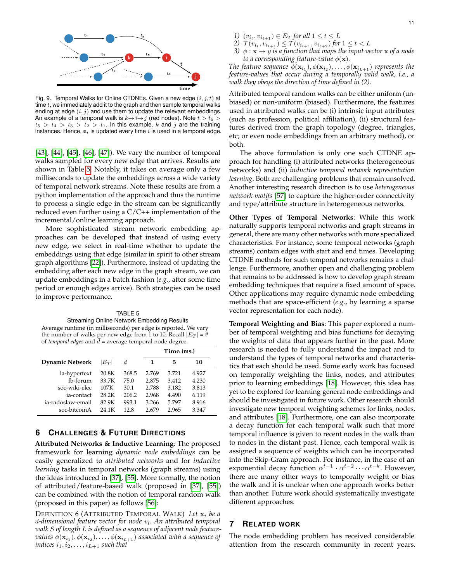

<span id="page-10-0"></span>Fig. 9. Temporal Walks for Online CTDNEs. Given a new edge  $(i, j, t)$  at time  $t$ , we immediately add it to the graph and then sample temporal walks ending at edge  $(i, j)$  and use them to update the relevant embeddings. An example of a temporal walk is  $k \rightarrow i \rightarrow j$  (red nodes). Note  $t > t_6 >$  $t_5 > t_4 > t_3 > t_2 > t_1$ . In this example, k and j are the training instances. Hence,  $z_i$  is updated every time  $i$  is used in a temporal edge.

[\[43\]](#page-12-42), [\[44\]](#page-12-43), [\[45\]](#page-13-0), [\[46\]](#page-13-1), [\[47\]](#page-13-2)). We vary the number of temporal walks sampled for every new edge that arrives. Results are shown in Table [5.](#page-10-1) Notably, it takes on average only a few milliseconds to update the embeddings across a wide variety of temporal network streams. Note these results are from a python implementation of the approach and thus the runtime to process a single edge in the stream can be significantly reduced even further using a  $C/C++$  implementation of the incremental/online learning approach.

More sophisticated stream network embedding approaches can be developed that instead of using every new edge, we select in real-time whether to update the embeddings using that edge (similar in spirit to other stream graph algorithms [\[22\]](#page-12-21)). Furthermore, instead of updating the embedding after each new edge in the graph stream, we can update embeddings in a batch fashion (*e.g.*, after some time period or enough edges arrive). Both strategies can be used to improve performance.

<span id="page-10-1"></span>TABLE 5 Streaming Online Network Embedding Results Average runtime (in milliseconds) per edge is reported. We vary the number of walks per new edge from 1 to 10. Recall  $|E_T| = #$ of *temporal edges* and  $\bar{d}$  = average temporal node degree.

|                        |         |                | Time (ms.) |       |       |
|------------------------|---------|----------------|------------|-------|-------|
| <b>Dynamic Network</b> | $ E_T $ | $\overline{d}$ | 1          | 5     | 10    |
| ia-hypertext           | 20.8K   | 368.5          | 2.769      | 3.721 | 4.927 |
| fb-forum               | 33.7K   | 75.0           | 2.875      | 3.412 | 4.230 |
| soc-wiki-elec          | 107K    | 30.1           | 2.788      | 3.182 | 3.813 |
| ia-contact             | 28.2K   | 206.2          | 2.968      | 4.490 | 6.119 |
| ia-radoslaw-email      | 82.9K   | 993.1          | 3.266      | 5.797 | 8.916 |
| soc-bitcoinA           | 24.1K   | 12.8           | 2.679      | 2.965 | 3.347 |

# **6 CHALLENGES & FUTURE DIRECTIONS**

**Attributed Networks & Inductive Learning**: The proposed framework for learning *dynamic node embeddings* can be easily generalized to *attributed networks* and for *inductive learning* tasks in temporal networks (graph streams) using the ideas introduced in [\[37\]](#page-12-36), [\[55\]](#page-13-10). More formally, the notion of attributed/feature-based walk (proposed in [\[37\]](#page-12-36), [\[55\]](#page-13-10)) can be combined with the notion of temporal random walk (proposed in this paper) as follows [\[56\]](#page-13-11):

DEFINITION 6 (ATTRIBUTED TEMPORAL WALK) Let  $x_i$  be a d*-dimensional feature vector for node* v<sup>i</sup> *. An attributed temporal walk* S *of length* L *is defined as a sequence of adjacent node feature-* $\mathit{values} \ \phi(\mathbf{x}_{i_1}),\phi(\mathbf{x}_{i_2}),\dots,\phi(\mathbf{x}_{i_{L+1}})$  associated with a sequence of *indices*  $i_1, i_2, \ldots, i_{L+1}$  *such that* 

- *1*)  $(v_{i_t}, v_{i_{t+1}}) \in E_T$  for all  $1 \le t \le L$
- 2)  $\mathcal{T}(v_{i_t}, v_{i_{t+1}}) \leq \mathcal{T}(v_{i_{t+1}}, v_{i_{t+2}})$  for  $1 \leq t < L$
- *3)*  $\phi$  :  $\mathbf{x} \rightarrow y$  *is a function that maps the input vector*  $\mathbf{x}$  *of a node to a corresponding feature-value*  $\phi(\mathbf{x})$ *.*

The feature sequence  $\phi(\mathbf{x}_{i_1}), \phi(\mathbf{x}_{i_2}), \ldots, \phi(\mathbf{x}_{i_{L+1}})$  *represents the feature-values that occur during a temporally valid walk, i.e., a walk they obeys the direction of time defined in (2).*

Attributed temporal random walks can be either uniform (unbiased) or non-uniform (biased). Furthermore, the features used in attributed walks can be (i) intrinsic input attributes (such as profession, political affiliation), (ii) structural features derived from the graph topology (degree, triangles, etc; or even node embeddings from an arbitrary method), or both.

The above formulation is only one such CTDNE approach for handling (i) attributed networks (heterogeneous networks) and (ii) *inductive temporal network representation learning*. Both are challenging problems that remain unsolved. Another interesting research direction is to use *heterogeneous network motifs* [\[57\]](#page-13-12) to capture the higher-order connectivity and type/attribute structure in heterogeneous networks.

**Other Types of Temporal Networks**: While this work naturally supports temporal networks and graph streams in general, there are many other networks with more specialized characteristics. For instance, some temporal networks (graph streams) contain edges with start and end times. Developing CTDNE methods for such temporal networks remains a challenge. Furthermore, another open and challenging problem that remains to be addressed is how to develop graph stream embedding techniques that require a fixed amount of space. Other applications may require dynamic node embedding methods that are space-efficient (*e.g.*, by learning a sparse vector representation for each node).

**Temporal Weighting and Bias**: This paper explored a number of temporal weighting and bias functions for decaying the weights of data that appears further in the past. More research is needed to fully understand the impact and to understand the types of temporal networks and characteristics that each should be used. Some early work has focused on temporally weighting the links, nodes, and attributes prior to learning embeddings [\[18\]](#page-12-17). However, this idea has yet to be explored for learning general node embeddings and should be investigated in future work. Other research should investigate new temporal weighting schemes for links, nodes, and attributes [\[18\]](#page-12-17). Furthermore, one can also incorporate a decay function for each temporal walk such that more temporal influence is given to recent nodes in the walk than to nodes in the distant past. Hence, each temporal walk is assigned a sequence of weights which can be incorporated into the Skip-Gram approach. For instance, in the case of an exponential decay function  $\alpha^{t-1} \cdot \alpha^{t-2} \cdots \alpha^{t-k}$ . However, there are many other ways to temporally weight or bias the walk and it is unclear when one approach works better than another. Future work should systematically investigate different approaches.

## **7 RELATED WORK**

The node embedding problem has received considerable attention from the research community in recent years.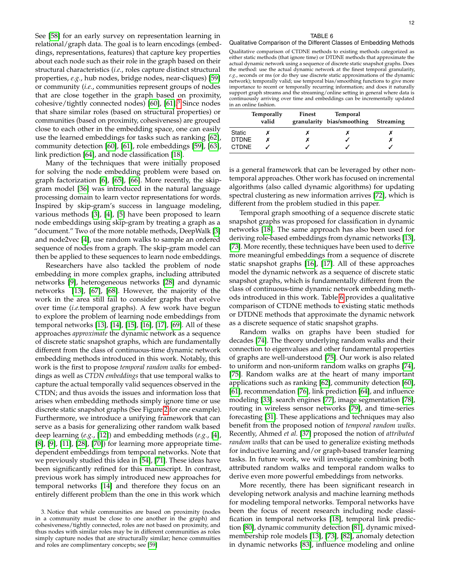See [\[58\]](#page-13-13) for an early survey on representation learning in relational/graph data. The goal is to learn encodings (embeddings, representations, features) that capture key properties about each node such as their role in the graph based on their structural characteristics (*i.e.*, roles capture distinct structural properties, *e.g.*, hub nodes, bridge nodes, near-cliques) [\[59\]](#page-13-14) or community (*i.e.*, communities represent groups of nodes that are close together in the graph based on proximity, cohesive/tightly connected nodes) [\[60\]](#page-13-15), [\[61\]](#page-13-16).<sup>[3](#page-11-0)</sup> Since nodes that share similar roles (based on structural properties) or communities (based on proximity, cohesiveness) are grouped close to each other in the embedding space, one can easily use the learned embeddings for tasks such as ranking [\[62\]](#page-13-17), community detection [\[60\]](#page-13-15), [\[61\]](#page-13-16), role embeddings [\[59\]](#page-13-14), [\[63\]](#page-13-18), link prediction [\[64\]](#page-13-19), and node classification [\[18\]](#page-12-17).

Many of the techniques that were initially proposed for solving the node embedding problem were based on graph factorization [\[6\]](#page-12-5), [\[65\]](#page-13-20), [\[66\]](#page-13-21). More recently, the skipgram model [\[36\]](#page-12-35) was introduced in the natural language processing domain to learn vector representations for words. Inspired by skip-gram's success in language modeling, various methods [\[3\]](#page-12-2), [\[4\]](#page-12-3), [\[5\]](#page-12-4) have been proposed to learn node embeddings using skip-gram by treating a graph as a "document." Two of the more notable methods, DeepWalk [\[3\]](#page-12-2) and node2vec [\[4\]](#page-12-3), use random walks to sample an ordered sequence of nodes from a graph. The skip-gram model can then be applied to these sequences to learn node embeddings.

Researchers have also tackled the problem of node embedding in more complex graphs, including attributed networks [\[9\]](#page-12-8), heterogeneous networks [\[28\]](#page-12-27) and dynamic networks [\[13\]](#page-12-12), [\[67\]](#page-13-22), [\[68\]](#page-13-23). However, the majority of the work in the area still fail to consider graphs that evolve over time (*i.e.*temporal graphs). A few work have begun to explore the problem of learning node embeddings from temporal networks [\[13\]](#page-12-12), [\[14\]](#page-12-13), [\[15\]](#page-12-14), [\[16\]](#page-12-15), [\[17\]](#page-12-16), [\[69\]](#page-13-24). All of these approaches *approximate* the dynamic network as a sequence of discrete static snapshot graphs, which are fundamentally different from the class of continuous-time dynamic network embedding methods introduced in this work. Notably, this work is the first to propose *temporal random walks* for embeddings as well as *CTDN embeddings* that use temporal walks to capture the actual temporally valid sequences observed in the CTDN; and thus avoids the issues and information loss that arises when embedding methods simply ignore time or use discrete static snapshot graphs (See Figure [2](#page-1-0) for one example). Furthermore, we introduce a unifying framework that can serve as a basis for generalizing other random walk based deep learning (*e.g.*, [\[12\]](#page-12-11)) and embedding methods (*e.g.*, [\[4\]](#page-12-3), [\[8\]](#page-12-7), [\[9\]](#page-12-8), [\[11\]](#page-12-10), [\[28\]](#page-12-27), [\[70\]](#page-13-25)) for learning more appropriate timedependent embeddings from temporal networks. Note that we previously studied this idea in [\[54\]](#page-13-9), [\[71\]](#page-13-26). These ideas have been significantly refined for this manuscript. In contrast, previous work has simply introduced new approaches for temporal networks [\[14\]](#page-12-13) and therefore they focus on an entirely different problem than the one in this work which

#### TABLE 6

#### <span id="page-11-1"></span>Qualitative Comparison of the Different Classes of Embedding Methods

Qualitative comparison of CTDNE methods to existing methods categorized as either static methods (that ignore time) or DTDNE methods that approximate the actual dynamic network using a sequence of discrete static snapshot graphs. Does the method: use the actual dynamic network at the finest temporal granularity, *e.g.*, seconds or ms (or do they use discrete static approximations of the dynamic network); temporally valid; use temporal bias/smoothing functions to give more importance to recent or temporally recurring information; and does it naturally support graph streams and the streaming/online setting in general where data is continuously arriving over time and embeddings can be incrementally updated in an online fashion.

|              | Temporally<br>valid | Finest | Temporal<br>granularity bias/smoothing | <b>Streaming</b> |
|--------------|---------------------|--------|----------------------------------------|------------------|
| Static       |                     |        |                                        |                  |
| DTDNE        |                     |        |                                        |                  |
| <b>CTDNE</b> |                     |        |                                        |                  |

is a general framework that can be leveraged by other nontemporal approaches. Other work has focused on incremental algorithms (also called dynamic algorithms) for updating spectral clustering as new information arrives [\[72\]](#page-13-27), which is different from the problem studied in this paper.

Temporal graph smoothing of a sequence discrete static snapshot graphs was proposed for classification in dynamic networks [\[18\]](#page-12-17). The same approach has also been used for deriving role-based embeddings from dynamic networks [\[13\]](#page-12-12), [\[73\]](#page-13-28). More recently, these techniques have been used to derive more meaningful embeddings from a sequence of discrete static snapshot graphs [\[16\]](#page-12-15), [\[17\]](#page-12-16). All of these approaches model the dynamic network as a sequence of discrete static snapshot graphs, which is fundamentally different from the class of continuous-time dynamic network embedding methods introduced in this work. Table [6](#page-11-1) provides a qualitative comparison of CTDNE methods to existing static methods or DTDNE methods that approximate the dynamic network as a discrete sequence of static snapshot graphs.

Random walks on graphs have been studied for decades [\[74\]](#page-13-29). The theory underlying random walks and their connection to eigenvalues and other fundamental properties of graphs are well-understood [\[75\]](#page-13-30). Our work is also related to uniform and non-uniform random walks on graphs [\[74\]](#page-13-29), [\[75\]](#page-13-30). Random walks are at the heart of many important applications such as ranking [\[62\]](#page-13-17), community detection [\[60\]](#page-13-15), [\[61\]](#page-13-16), recommendation [\[76\]](#page-13-31), link prediction [\[64\]](#page-13-19), and influence modeling [\[33\]](#page-12-32). search engines [\[77\]](#page-13-32), image segmentation [\[78\]](#page-13-33), routing in wireless sensor networks [\[79\]](#page-13-34), and time-series forecasting [\[31\]](#page-12-30). These applications and techniques may also benefit from the proposed notion of *temporal random walks*. Recently, Ahmed *et al.* [\[37\]](#page-12-36) proposed the notion of *attributed random walks* that can be used to generalize existing methods for inductive learning and/or graph-based transfer learning tasks. In future work, we will investigate combining both attributed random walks and temporal random walks to derive even more powerful embeddings from networks.

More recently, there has been significant research in developing network analysis and machine learning methods for modeling temporal networks. Temporal networks have been the focus of recent research including node classification in temporal networks [\[18\]](#page-12-17), temporal link prediction [\[80\]](#page-13-35), dynamic community detection [\[81\]](#page-13-36), dynamic mixedmembership role models [\[13\]](#page-12-12), [\[73\]](#page-13-28), [\[82\]](#page-13-37), anomaly detection in dynamic networks [\[83\]](#page-13-38), influence modeling and online

<span id="page-11-0"></span><sup>3.</sup> Notice that while communities are based on proximity (nodes in a community must be close to one another in the graph) and cohesiveness/tightly connected, roles are not based on proximity, and thus nodes with similar roles may be in different communities as roles simply capture nodes that are structurally similar; hence commuities and roles are complimentary concepts; see [\[59\]](#page-13-14)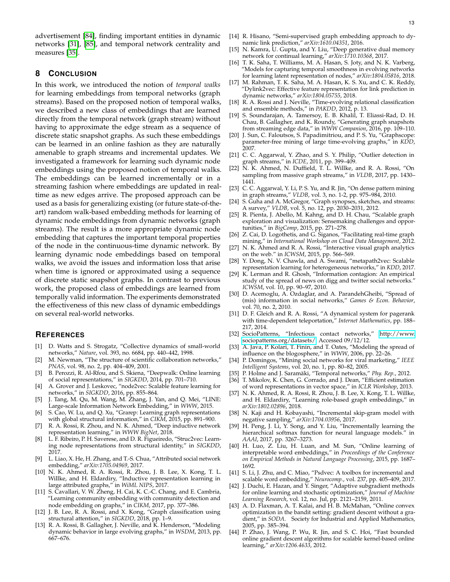advertisement [\[84\]](#page-13-39), finding important entities in dynamic networks [\[31\]](#page-12-30), [\[85\]](#page-13-40), and temporal network centrality and measures [\[35\]](#page-12-34).

# **8 CONCLUSION**

In this work, we introduced the notion of *temporal walks* for learning embeddings from temporal networks (graph streams). Based on the proposed notion of temporal walks, we described a new class of embeddings that are learned directly from the temporal network (graph stream) without having to approximate the edge stream as a sequence of discrete static snapshot graphs. As such these embeddings can be learned in an online fashion as they are naturally amenable to graph streams and incremental updates. We investigated a framework for learning such dynamic node embeddings using the proposed notion of temporal walks. The embeddings can be learned incrementally or in a streaming fashion where embeddings are updated in realtime as new edges arrive. The proposed approach can be used as a basis for generalizing existing (or future state-of-theart) random walk-based embedding methods for learning of dynamic node embeddings from dynamic networks (graph streams). The result is a more appropriate dynamic node embedding that captures the important temporal properties of the node in the continuous-time dynamic network. By learning dynamic node embeddings based on temporal walks, we avoid the issues and information loss that arise when time is ignored or approximated using a sequence of discrete static snapshot graphs. In contrast to previous work, the proposed class of embeddings are learned from temporally valid information. The experiments demonstrated the effectiveness of this new class of dynamic embeddings on several real-world networks.

## **REFERENCES**

- <span id="page-12-0"></span>[1] D. Watts and S. Strogatz, "Collective dynamics of small-world networks," *Nature*, vol. 393, no. 6684, pp. 440–442, 1998.
- <span id="page-12-1"></span>M. Newman, "The structure of scientific collaboration networks," *PNAS*, vol. 98, no. 2, pp. 404–409, 2001.
- <span id="page-12-2"></span>[3] B. Perozzi, R. Al-Rfou, and S. Skiena, "Deepwalk: Online learning of social representations," in *SIGKDD*, 2014, pp. 701–710.
- <span id="page-12-3"></span>[4] A. Grover and J. Leskovec, "node2vec: Scalable feature learning for networks," in *SIGKDD*, 2016, pp. 855–864.
- <span id="page-12-4"></span>J. Tang, M. Qu, M. Wang, M. Zhang, J. Yan, and Q. Mei, "LINE: Large-scale Information Network Embedding," in *WWW*, 2015.
- <span id="page-12-5"></span>[6] S. Cao, W. Lu, and Q. Xu, "Grarep: Learning graph representations with global structural information," in *CIKM*, 2015, pp. 891–900.
- <span id="page-12-6"></span>[7] R. A. Rossi, R. Zhou, and N. K. Ahmed, "Deep inductive network representation learning," in *WWW BigNet*, 2018.
- <span id="page-12-7"></span>L. F. Ribeiro, P. H. Saverese, and D. R. Figueiredo, "Struc2vec: Learning node representations from structural identity," in *SIGKDD*, 2017.
- <span id="page-12-8"></span>[9] L. Liao, X. He, H. Zhang, and T.-S. Chua, "Attributed social network embedding," *arXiv:1705.04969*, 2017.
- <span id="page-12-9"></span>[10] N. K. Ahmed, R. A. Rossi, R. Zhou, J. B. Lee, X. Kong, T. L. Willke, and H. Eldardiry, "Inductive representation learning in large attributed graphs," in *WiML NIPS*, 2017.
- <span id="page-12-10"></span>[11] S. Cavallari, V. W. Zheng, H. Cai, K. C.-C. Chang, and E. Cambria, "Learning community embedding with community detection and node embedding on graphs," in *CIKM*, 2017, pp. 377–386.
- <span id="page-12-11"></span>[12] J. B. Lee, R. A. Rossi, and X. Kong, "Graph classification using structural attention," in *SIGKDD*, 2018, pp. 1-9.
- <span id="page-12-12"></span>[13] R. A. Rossi, B. Gallagher, J. Neville, and K. Henderson, "Modeling dynamic behavior in large evolving graphs," in *WSDM*, 2013, pp. 667–676.
- <span id="page-12-13"></span>[14] R. Hisano, "Semi-supervised graph embedding approach to dynamic link prediction," *arXiv:1610.04351*, 2016.
- <span id="page-12-14"></span>[15] N. Kamra, U. Gupta, and Y. Liu, "Deep generative dual memory network for continual learning," *arXiv:1710.10368*, 2017.
- <span id="page-12-15"></span>[16] T. K. Saha, T. Williams, M. A. Hasan, S. Joty, and N. K. Varberg, "Models for capturing temporal smoothness in evolving networks for learning latent representation of nodes," *arXiv:1804.05816*, 2018.
- <span id="page-12-16"></span>[17] M. Rahman, T. K. Saha, M. A. Hasan, K. S. Xu, and C. K. Reddy, "Dylink2vec: Effective feature representation for link prediction in dynamic networks," *arXiv:1804.05755*, 2018.
- <span id="page-12-17"></span>[18] R. A. Rossi and J. Neville, "Time-evolving relational classification and ensemble methods," in *PAKDD*, 2012, p. 13.
- <span id="page-12-18"></span>[19] S. Soundarajan, A. Tamersoy, E. B. Khalil, T. Eliassi-Rad, D. H. Chau, B. Gallagher, and K. Roundy, "Generating graph snapshots from streaming edge data," in *WWW Companion*, 2016, pp. 109–110.
- <span id="page-12-19"></span>[20] J. Sun, C. Faloutsos, S. Papadimitriou, and P. S. Yu, "Graphscope: parameter-free mining of large time-evolving graphs," in *KDD*, 2007.
- <span id="page-12-20"></span>[21] C. C. Aggarwal, Y. Zhao, and S. Y. Philip, "Outlier detection in graph streams," in *ICDE*, 2011, pp. 399–409.
- <span id="page-12-21"></span>[22] N. K. Ahmed, N. Duffield, T. L. Willke, and R. A. Rossi, "On sampling from massive graph streams," in *VLDB*, 2017, pp. 1430– 1441.
- <span id="page-12-22"></span>[23] C. C. Aggarwal, Y. Li, P. S. Yu, and R. Jin, "On dense pattern mining in graph streams," *VLDB*, vol. 3, no. 1-2, pp. 975–984, 2010.
- <span id="page-12-23"></span>[24] S. Guha and A. McGregor, "Graph synopses, sketches, and streams: A survey," *VLDB*, vol. 5, no. 12, pp. 2030–2031, 2012.
- <span id="page-12-24"></span>[25] R. Pienta, J. Abello, M. Kahng, and D. H. Chau, "Scalable graph exploration and visualization: Sensemaking challenges and opportunities," in *BigComp*, 2015, pp. 271–278.
- <span id="page-12-25"></span>[26] Z. Cai, D. Logothetis, and G. Siganos, "Facilitating real-time graph mining," in *International Workshop on Cloud Data Management*, 2012.
- <span id="page-12-26"></span>[27] N. K. Ahmed and R. A. Rossi, "Interactive visual graph analytics on the web." in *ICWSM*, 2015, pp. 566–569.
- <span id="page-12-27"></span>[28] Y. Dong, N. V. Chawla, and A. Swami, "metapath2vec: Scalable representation learning for heterogeneous networks," in *KDD*, 2017.
- <span id="page-12-28"></span>[29] K. Lerman and R. Ghosh, "Information contagion: An empirical study of the spread of news on digg and twitter social networks." *ICWSM*, vol. 10, pp. 90–97, 2010.
- <span id="page-12-29"></span>[30] D. Acemoglu, A. Ozdaglar, and A. ParandehGheibi, "Spread of (mis) information in social networks," *Games & Econ. Behavior*, vol. 70, no. 2, 2010.
- <span id="page-12-30"></span>[31] D. F. Gleich and R. A. Rossi, "A dynamical system for pagerank with time-dependent teleportation," *Internet Mathematics*, pp. 188– 217, 2014.
- <span id="page-12-31"></span>[32] SocioPatterns, "Infectious contact networks," [http://www.](http://www.sociopatterns.org/datasets/) [sociopatterns.org/datasets/.](http://www.sociopatterns.org/datasets/) Accessed 09/12/12.
- <span id="page-12-32"></span>[33] A. Java, P. Kolari, T. Finin, and T. Oates, "Modeling the spread of influence on the blogosphere," in *WWW*, 2006, pp. 22–26.
- <span id="page-12-33"></span>[34] P. Domingos, "Mining social networks for viral marketing," *IEEE Intelligent Systems*, vol. 20, no. 1, pp. 80–82, 2005.
- <span id="page-12-34"></span>[35] P. Holme and J. Saramäki, "Temporal networks," Phy. Rep., 2012.
- <span id="page-12-35"></span>[36] T. Mikolov, K. Chen, G. Corrado, and J. Dean, "Efficient estimation of word representations in vector space," in *ICLR Workshop*, 2013.
- <span id="page-12-36"></span>[37] N. K. Ahmed, R. A. Rossi, R. Zhou, J. B. Lee, X. Kong, T. L. Willke, and H. Eldardiry, "Learning role-based graph embeddings," in *arXiv:1802.02896*, 2018.
- <span id="page-12-37"></span>[38] N. Kaji and H. Kobayashi, "Incremental skip-gram model with negative sampling," *arXiv:1704.03956*, 2017.
- <span id="page-12-38"></span>[39] H. Peng, J. Li, Y. Song, and Y. Liu, "Incrementally learning the hierarchical softmax function for neural language models." in *AAAI*, 2017, pp. 3267–3273.
- <span id="page-12-39"></span>[40] H. Luo, Z. Liu, H. Luan, and M. Sun, "Online learning of interpretable word embeddings," in *Proceedings of the Conference on Empirical Methods in Natural Language Processing*, 2015, pp. 1687– 1692.
- <span id="page-12-40"></span>[41] S. Li, J. Zhu, and C. Miao, "Psdvec: A toolbox for incremental and scalable word embedding," *Neurocomp.*, vol. 237, pp. 405–409, 2017.
- <span id="page-12-41"></span>[42] J. Duchi, E. Hazan, and Y. Singer, "Adaptive subgradient methods for online learning and stochastic optimization," *Journal of Machine Learning Research*, vol. 12, no. Jul, pp. 2121–2159, 2011.
- <span id="page-12-42"></span>[43] A. D. Flaxman, A. T. Kalai, and H. B. McMahan, "Online convex optimization in the bandit setting: gradient descent without a gradient," in *SODA*. Society for Industrial and Applied Mathematics, 2005, pp. 385–394.
- <span id="page-12-43"></span>[44] P. Zhao, J. Wang, P. Wu, R. Jin, and S. C. Hoi, "Fast bounded online gradient descent algorithms for scalable kernel-based online learning," *arXiv:1206.4633*, 2012.